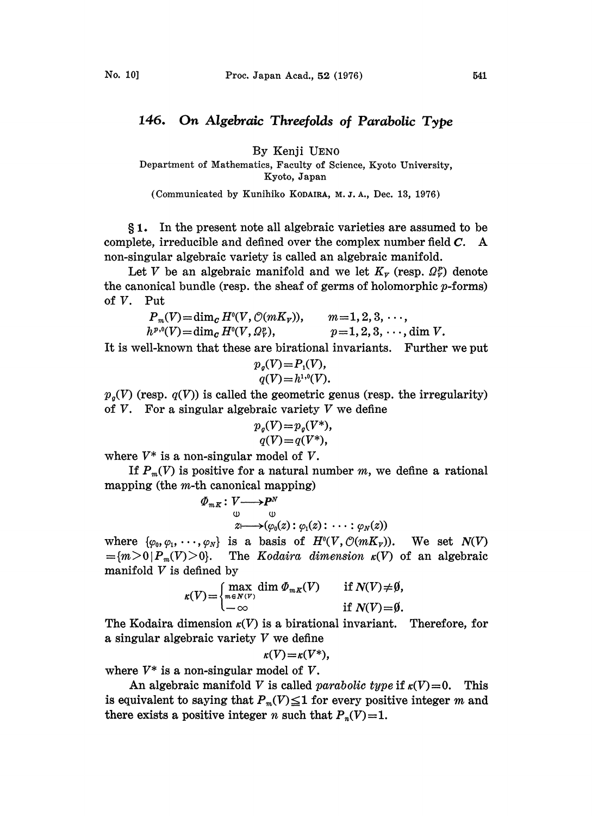## 146. On Algebraic Threefolds of Parabolic Type

By Kenji UEN0

Department of Mathematics, Faculty of Science., Kyoto University, Kyoto, Japan

(Communicated by Kunihiko KODAIRA, M. J. A., Dec. 13, 1976)

1. In the present note all algebraic varieties are assumed to be complete, irreducible and defined over the complex number field C. A non-singular algebraic variety is called an algebraic manifold.

Let V be an algebraic manifold and we let  $K_v$  (resp.  $\Omega_v^p$ ) denote the canonical bundle (resp. the sheaf of germs of holomorphic  $p$ -forms) of V. Put

| $P_m(V) = \dim_G H^0(V, \mathcal{O}(mK_v)),$                | $m=1, 2, 3, \cdots,$        |
|-------------------------------------------------------------|-----------------------------|
| $h^{p,0}(V) = \dim_{\mathcal{C}} H^{0}(V, \Omega_{V}^{p}),$ | $p=1, 2, 3, \dots$ , dim V. |

It is well-known that these are birational invariants. Further we put

$$
p_g(V) = P_1(V),
$$
  
 
$$
q(V) = h^{1,0}(V).
$$

 $p_q(V)$  (resp.  $q(V)$ ) is called the geometric genus (resp. the irregularity) of  $V$ . For a singular algebraic variety  $V$  we define

$$
p_q(V) = p_q(V^*),
$$
  
 
$$
q(V) = q(V^*),
$$

where  $V^*$  is a non-singular model of V.

If  $P_m(V)$  is positive for a natural number m, we define a rational mapping (the *m*-th canonical mapping)<br>  $\Phi_{mK}: V \longrightarrow P^N$ 

$$
\varPhi_{m\kappa}: V \longrightarrow P^N
$$
  
\n $\downarrow \qquad \qquad \downarrow \qquad \qquad \downarrow$   
\n $z \longmapsto (\varphi_0(z): \varphi_1(z): \cdots : \varphi_N(z))$ 

where  $\{\varphi_0, \varphi_1, \cdots, \varphi_N\}$  is a basis of  $H^0(V, \mathcal{O}(mK_v))$ . We set  $N(V)$  $=\{m>0\mid P_m(V)>0\}$ . The Kodaira dimension  $\kappa(V)$  of an algebraic manifold  $V$  is defined by

defined by  
\n
$$
\kappa(V) = \begin{cases}\n\max_{m \in N(V)} \dim \Phi_{mK}(V) & \text{if } N(V) \neq \emptyset, \\
-\infty & \text{if } N(V) = \emptyset.\n\end{cases}
$$

The Kodaira dimension  $\kappa(V)$  is a birational invariant. Therefore, for a singular algebraic variety V we define

$$
\kappa(V)=\kappa(V^*),
$$

where  $V^*$  is a non-singular model of V.

An algebraic manifold V is called *parabolic type* if  $\kappa(V)=0$ . This is equivalent to saying that  $P_m(V) \leq 1$  for every positive integer m and there exists a positive integer *n* such that  $P_n(V)=1$ .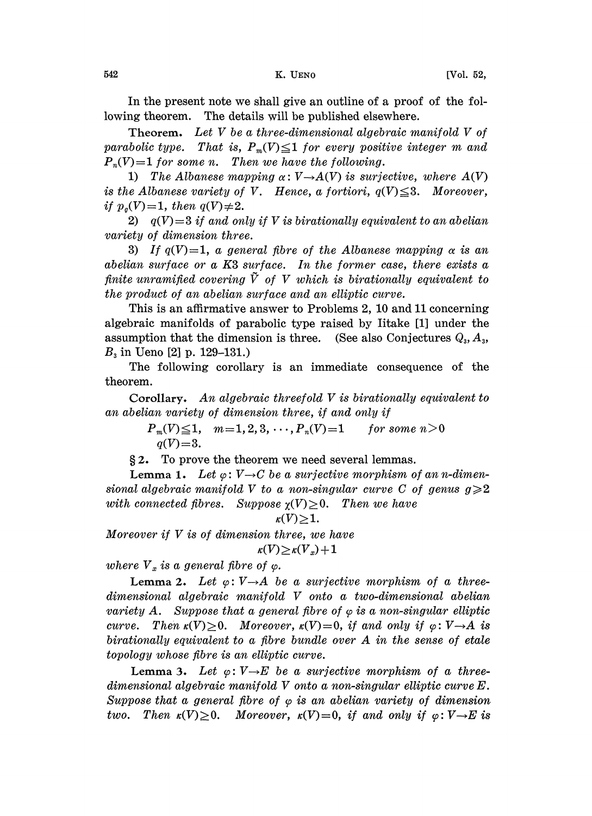In the present note we shall give an outline of a proof of the following theorem. The details will be published elsewhere.

Theorem. Let V be a three-dimensional algebraic manifold V of parabolic type. That is,  $P_m(V) \leq 1$  for every positive integer m and  $P_n(V)=1$  for some n. Then we have the following.

1) The Albanese mapping  $\alpha: V \rightarrow A(V)$  is surjective, where  $A(V)$ <br>e Albanese variety of V – Hence a fortiori  $a(V) \leq 3$  – Moreover is the Albanese variety of V. Hence, a fortiori,  $q(V) \leq 3$ . Moreover, if  $p_q(V)=1$ , then  $q(V)\neq 2$ .

2)  $q(V)=3$  if and only if V is birationally equivalent to an abelian variety of dimension three.

3) If  $q(V)=1$ , a general fibre of the Albanese mapping  $\alpha$  is an abelian surface or a K3 surface. In the former case, there exists a finite unramified covering  $\tilde{V}$  of V which is birationally equivalent to the product of an abelian surface and an elliptic curve.

This is an affirmative answer to Problems 2, 10 and 11 concerning algebraic manifolds of parabolic type raised by Iitake [1] under the assumption that the dimension is three. (See also Conjectures  $Q_3$ ,  $A_3$ ,  $B_3$  in Ueno [2] p. 129-131.)

The following corollary is an immediate consequence of the theorem.

Corollary. An algebraic threefold V is birationally equivalent to an abelian variety of dimension three, if and only if

> $P_m(V) \leq 1$ ,  $m = 1, 2, 3, \cdots, P_n(V) = 1$  for some  $n > 0$  $q(V) = 3.$

2. To prove the theorem we need several lemmas.

**Lemma 1.** Let  $\varphi: V \rightarrow C$  be a surjective morphism of an n-dimen-<br>al algebraic manifold V to a non-singular curve C of genus  $g \geqslant 2$ sional algebraic manifold V to a non-singular curve C of genus  $g \geqslant 2$ with connected fibres. Suppose  $\chi(V) > 0$ . Then we have

$$
\kappa(V)\geq 1.
$$

Moreover if  $V$  is of dimension three, we have  $\kappa(V) \geq \kappa(V_n) + 1$ 

where  $V_x$  is a general fibre of  $\varphi$ .

Lemma 2. Let  $\varphi: V \rightarrow A$  be a surjective morphism of a three-<br>ensional algebraic manifold V onto a two-dimensional abelian dimensional algebraic manifold V onto a two.dimensional abelian variety A. Suppose that a general fibre of  $\varphi$  is a non-singular elliptic curve. Then  $\kappa(V) \geq 0$ . Moreover,  $\kappa(V) = 0$ , if and only if  $\varphi \colon V \to A$  is birationally equivalent to a fibre bundle over A in the sense of etale curve. Then  $\kappa(V) \geq 0$ . Moreover,  $\kappa(V) = 0$ , if and only if  $\varphi: V \rightarrow A$  is topology whose fibre is an elliptic curve.

Lemma 3. Let  $\varphi: V \rightarrow E$  be a surjective morphism of a three-<br>ensional algebraic manifold V onto a non-singular elliptic curve E. dimensional algebraic manifold V onto <sup>a</sup> non-singular elliptic curve E. Suppose that a general fibre of  $\varphi$  is an abelian variety of dimension two. Then  $\kappa(V) \geq 0$ . Moreover,  $\kappa(V) = 0$ , if and only if  $\varphi: V \rightarrow E$  is